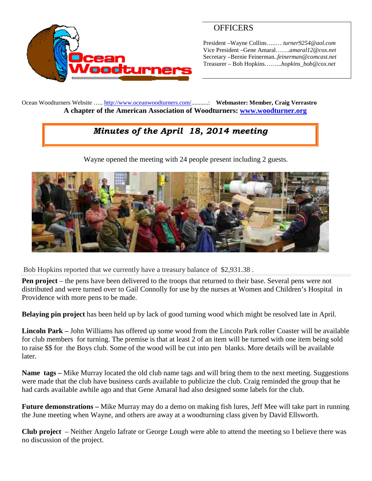

## **OFFICERS**

President –Wayne Collins…..… *turner9254@aol.com* Vice President –Gene Amaral…….*amaral12@cox.net* Secretary –Bernie Feinerman*..feinerman@comcast.net* Treasurer – Bob Hopkins……...*hopkins\_bob@cox.net*

Ocean Woodturners Website ….. <http://www.oceanwoodturners.com/>...........: **Webmaster: Member, Craig Verrastro A chapter of the American Association of Woodturners: [www.woodturner.org](http://www.woodturner.org/)**

## *Minutes of the April 18, 2014 meeting*

Wayne opened the meeting with 24 people present including 2 guests.



Bob Hopkins reported that we currently have a treasury balance of \$2,931.38 .

**Pen project** – the pens have been delivered to the troops that returned to their base. Several pens were not distributed and were turned over to Gail Connolly for use by the nurses at Women and Children's Hospital in Providence with more pens to be made.

**Belaying pin project** has been held up by lack of good turning wood which might be resolved late in April.

**Lincoln Park –** John Williams has offered up some wood from the Lincoln Park roller Coaster will be available for club members for turning. The premise is that at least 2 of an item will be turned with one item being sold to raise \$\$ for the Boys club. Some of the wood will be cut into pen blanks. More details will be available later.

**Name tags –** Mike Murray located the old club name tags and will bring them to the next meeting. Suggestions were made that the club have business cards available to publicize the club. Craig reminded the group that he had cards available awhile ago and that Gene Amaral had also designed some labels for the club.

**Future demonstrations –** Mike Murray may do a demo on making fish lures, Jeff Mee will take part in running the June meeting when Wayne, and others are away at a woodturning class given by David Ellsworth.

**Club project** – Neither Angelo Iafrate or George Lough were able to attend the meeting so I believe there was no discussion of the project.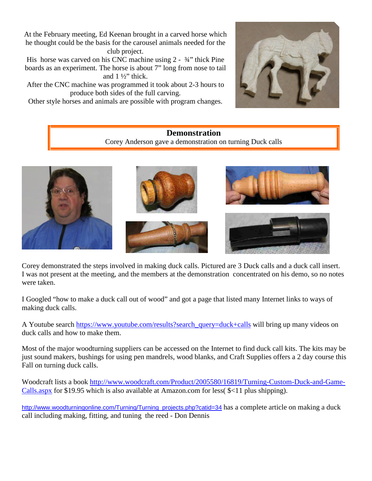At the February meeting, Ed Keenan brought in a carved horse which he thought could be the basis for the carousel animals needed for the club project.

His horse was carved on his CNC machine using 2 -  $\frac{3}{4}$ " thick Pine boards as an experiment. The horse is about 7" long from nose to tail and  $1\frac{1}{2}$  thick.

After the CNC machine was programmed it took about 2-3 hours to produce both sides of the full carving.

Other style horses and animals are possible with program changes.



#### **Demonstration** Corey Anderson gave a demonstration on turning Duck calls



Corey demonstrated the steps involved in making duck calls. Pictured are 3 Duck calls and a duck call insert. I was not present at the meeting, and the members at the demonstration concentrated on his demo, so no notes were taken.

I Googled "how to make a duck call out of wood" and got a page that listed many Internet links to ways of making duck calls.

A Youtube search [https://www.youtube.com/results?search\\_query=duck+calls](https://www.youtube.com/results?search_query=duck+calls) will bring up many videos on duck calls and how to make them.

Most of the major woodturning suppliers can be accessed on the Internet to find duck call kits. The kits may be just sound makers, bushings for using pen mandrels, wood blanks, and Craft Supplies offers a 2 day course this Fall on turning duck calls.

Woodcraft lists a book [http://www.woodcraft.com/Product/2005580/16819/Turning-Custom-Duck-and-Game-](http://www.woodcraft.com/Product/2005580/16819/Turning-Custom-Duck-and-Game-Calls.aspx)[Calls.aspx](http://www.woodcraft.com/Product/2005580/16819/Turning-Custom-Duck-and-Game-Calls.aspx) for \$19.95 which is also available at Amazon.com for less( \$<11 plus shipping).

[http://www.woodturningonline.com/Turning/Turning\\_projects.php?catid=34](http://www.woodturningonline.com/Turning/Turning_projects.php?catid=34) has a complete article on making a duck call including making, fitting, and tuning the reed - Don Dennis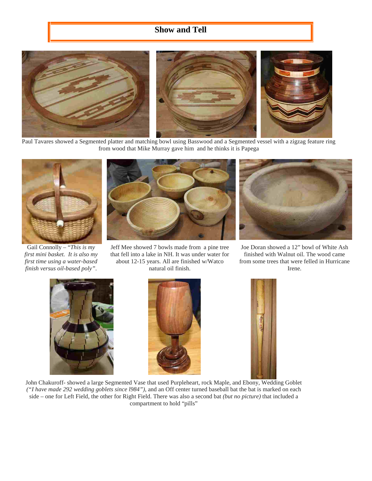### **Show and Tell**



Paul Tavares showed a Segmented platter and matching bowl using Basswood and a Segmented vessel with a zigzag feature ring from wood that Mike Murray gave him and he thinks it is Papega



Gail Connolly – "*This is my first mini basket. It is also my first time using a water-based finish versus oil-based poly"*.



Jeff Mee showed 7 bowls made from a pine tree that fell into a lake in NH. It was under water for about 12-15 years. All are finished w/Watco natural oil finish.



Joe Doran showed a 12" bowl of White Ash finished with Walnut oil. The wood came from some trees that were felled in Hurricane Irene.







John Chakuroff- showed a large Segmented Vase that used Purpleheart, rock Maple, and Ebony, Wedding Goblet *("I have made 292 wedding goblets since l984")*, and an Off center turned baseball bat the bat is marked on each side – one for Left Field, the other for Right Field. There was also a second bat *(but no picture)* that included a compartment to hold "pills"